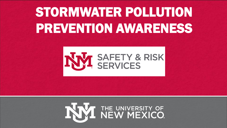# STORMWATER POLLUTION PREVENTION AWARENESS



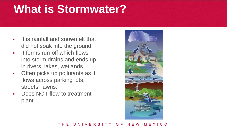### **What is Stormwater?**

- **It is rainfall and snowmelt that** did not soak into the ground.
- **It forms run-off which flows** into storm drains and ends up in rivers, lakes, wetlands.
- Often picks up pollutants as it flows across parking lots, streets, lawns.
- Does NOT flow to treatment plant.

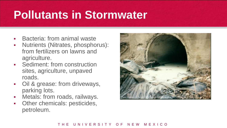## **Pollutants in Stormwater**

- **Bacteria: from animal waste**
- Nutrients (Nitrates, phosphorus): from fertilizers on lawns and agriculture.
- **Sediment: from construction** sites, agriculture, unpaved roads.
- Oil & grease: from driveways, parking lots.
- **-** Metals: from roads, railways.
- **Other chemicals: pesticides,** petroleum.

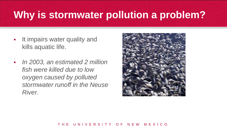- **It impairs water quality and** kills aquatic life.
- *In 2003, an estimated 2 million fish were killed due to low oxygen caused by polluted stormwater runoff in the Neuse*  **RIVEY.** Photo courtesy of University of North Carolina

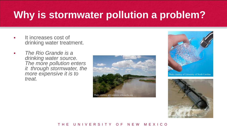- **It increases cost of** drinking water treatment.
- *The Rio Grande is a drinking water source. The more pollution enters it through stormwater, the more expensive it is to treat.*





Photo courtesy of University of North Carolina

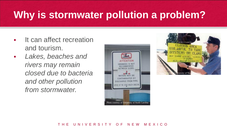- **If can affect recreation** and tourism.
- *Lakes, beaches and rivers may remain closed due to bacteria and other pollution from stormwater.*



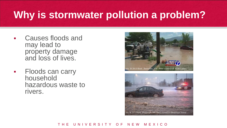- Causes floods and may lead to property damage and loss of lives.
- Floods can carry household hazardous waste to rivers.



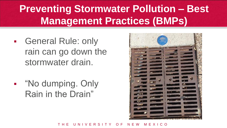### **Preventing Stormwater Pollution – Best Management Practices (BMPs)**

- **General Rule: only** rain can go down the stormwater drain.
- **-** "No dumping. Only Rain in the Drain"

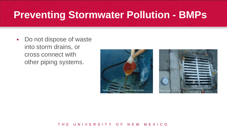Do not dispose of waste into storm drains, or cross connect with other piping systems.



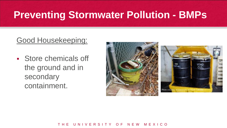### Good Housekeeping:

 Store chemicals off the ground and in secondary containment.

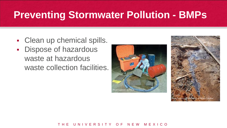- Clean up chemical spills.
- **Dispose of hazardous** waste at hazardous waste collection facilities.



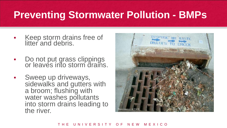- Keep storm drains free of litter and debris.
- Do not put grass clippings or leaves into storm drains.
- **Sweep up driveways,** sidewalks and gutters with a broom; flushing with water washes pollutants into storm drains leading to the river.

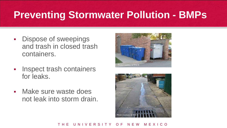- Dispose of sweepings and trash in closed trash containers.
- **Inspect trash containers** for leaks.
- Make sure waste does not leak into storm drain.



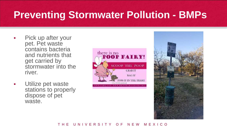- Pick up after your pet. Pet waste contains bacteria and nutrients that get carried by stormwater into the river.
- **Utilize pet waste** stations to properly dispose of pet waste.



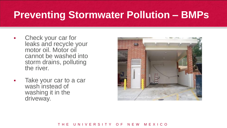- Check your car for leaks and recycle your motor oil. Motor oil cannot be washed into storm drains, polluting the river.
- Take your car to a car wash instead of washing it in the driveway.

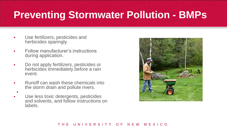- Use fertilizers, pesticides and herbicides sparingly.
- **Follow manufacturer's instructions** during application.
- Do not apply fertilizers, pesticides or herbicides immediately before a rain event.
- Runoff can wash these chemicals into the storm drain and pollute rivers.
- ı
- **Use less toxic detergents, pesticides** and solvents, and follow instructions on labels.

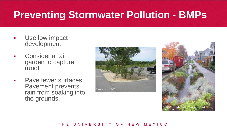- Use low impact development.
- Consider a rain garden to capture runoff.
- Pave fewer surfaces. Pavement prevents rain from soaking into the grounds.



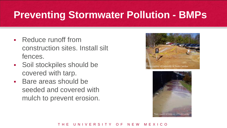- Reduce runoff from construction sites. Install silt fences.
- **Soil stockpiles should be** covered with tarp.
- Bare areas should be seeded and covered with mulch to prevent erosion.